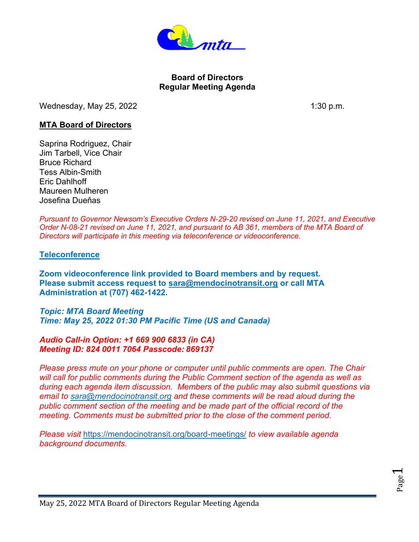

## **Board of Directors Regular Meeting Agenda**

Wednesday, May 25, 2022  $\sim$  1:30 p.m.

## **MTA Board of Directors**

Saprina Rodriguez, Chair Jim Tarbell, Vice Chair Bruce Richard Tess Albin-Smith Eric Dahlhoff Maureen Mulheren Josefina Dueňas

*Pursuant to Governor Newsom's Executive Orders N-29-20 revised on June 11, 2021, and Executive Order N-08-21 revised on June 11, 2021, and pursuant to AB 361, members of the MTA Board of Directors will participate in this meeting via teleconference or videoconference.*

## **Teleconference**

**Zoom videoconference link provided to Board members and by request. Please submit access request to [sara@mendocinotransit.org](mailto:sara@mendocinotransit.org) or call MTA Administration at (707) 462-1422.**

*Topic: MTA Board Meeting*

*Time: May 25, 2022 01:30 PM Pacific Time (US and Canada)*

## *Audio Call-in Option: +1 669 900 6833 (in CA) Meeting ID: 824 0011 7064 Passcode: 869137*

*Please press mute on your phone or computer until public comments are open. The Chair will call for public comments during the Public Comment section of the agenda as well as during each agenda item discussion. Members of the public may also submit questions via email to [sara@mendocinotransit.org](mailto:sara@mendocinotransit.org) and these comments will be read aloud during the public comment section of the meeting and be made part of the official record of the meeting. Comments must be submitted prior to the close of the comment period.*

*Please visit* <https://mendocinotransit.org/board-meetings/> *to view available agenda background documents.*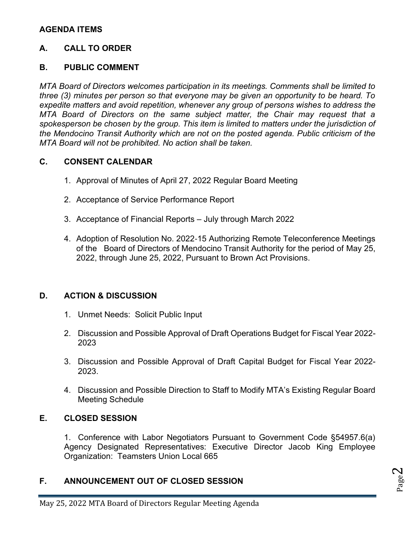# **AGENDA ITEMS**

# **A. CALL TO ORDER**

## **B. PUBLIC COMMENT**

*MTA Board of Directors welcomes participation in its meetings. Comments shall be limited to three (3) minutes per person so that everyone may be given an opportunity to be heard. To expedite matters and avoid repetition, whenever any group of persons wishes to address the MTA Board of Directors on the same subject matter, the Chair may request that a spokesperson be chosen by the group. This item is limited to matters under the jurisdiction of the Mendocino Transit Authority which are not on the posted agenda. Public criticism of the MTA Board will not be prohibited. No action shall be taken.*

## **C. CONSENT CALENDAR**

- 1. Approval of Minutes of April 27, 2022 Regular Board Meeting
- 2. Acceptance of Service Performance Report
- 3. Acceptance of Financial Reports July through March 2022
- 4. Adoption of Resolution No. 2022‐15 Authorizing Remote Teleconference Meetings of the Board of Directors of Mendocino Transit Authority for the period of May 25, 2022, through June 25, 2022, Pursuant to Brown Act Provisions.

## **D. ACTION & DISCUSSION**

- 1. Unmet Needs: Solicit Public Input
- 2. Discussion and Possible Approval of Draft Operations Budget for Fiscal Year 2022- 2023
- 3. Discussion and Possible Approval of Draft Capital Budget for Fiscal Year 2022- 2023.
- 4. Discussion and Possible Direction to Staff to Modify MTA's Existing Regular Board Meeting Schedule

# **E. CLOSED SESSION**

1. Conference with Labor Negotiators Pursuant to Government Code §54957.6(a) Agency Designated Representatives: Executive Director Jacob King Employee Organization: Teamsters Union Local 665

# **F. ANNOUNCEMENT OUT OF CLOSED SESSION**